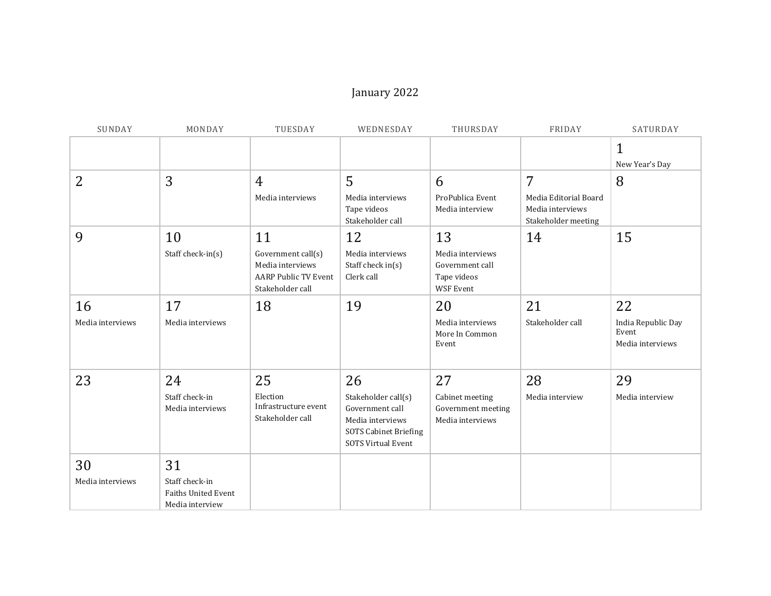## January 2022

| SUNDAY           | MONDAY                                                   | TUESDAY                                                                                   | WEDNESDAY                                                                                                               | THURSDAY                                                               | FRIDAY                                                           | SATURDAY                                        |
|------------------|----------------------------------------------------------|-------------------------------------------------------------------------------------------|-------------------------------------------------------------------------------------------------------------------------|------------------------------------------------------------------------|------------------------------------------------------------------|-------------------------------------------------|
|                  |                                                          |                                                                                           |                                                                                                                         |                                                                        |                                                                  | $\mathbf{1}$<br>New Year's Day                  |
| 2                | 3                                                        | 4                                                                                         | 5                                                                                                                       | 6                                                                      | 7                                                                | 8                                               |
|                  |                                                          | Media interviews                                                                          | Media interviews<br>Tape videos<br>Stakeholder call                                                                     | ProPublica Event<br>Media interview                                    | Media Editorial Board<br>Media interviews<br>Stakeholder meeting |                                                 |
| 9                | 10                                                       | 11                                                                                        | 12                                                                                                                      | 13                                                                     | 14                                                               | 15                                              |
|                  | Staff check-in(s)                                        | Government call(s)<br>Media interviews<br><b>AARP Public TV Event</b><br>Stakeholder call | Media interviews<br>Staff check in(s)<br>Clerk call                                                                     | Media interviews<br>Government call<br>Tape videos<br><b>WSF Event</b> |                                                                  |                                                 |
| 16               | 17                                                       | 18                                                                                        | 19                                                                                                                      | 20                                                                     | 21                                                               | 22                                              |
| Media interviews | Media interviews                                         |                                                                                           |                                                                                                                         | Media interviews<br>More In Common<br>Event                            | Stakeholder call                                                 | India Republic Day<br>Event<br>Media interviews |
| 23               | 24                                                       | 25                                                                                        | 26                                                                                                                      | 27                                                                     | 28                                                               | 29                                              |
|                  | Staff check-in<br>Media interviews                       | Election<br>Infrastructure event<br>Stakeholder call                                      | Stakeholder call(s)<br>Government call<br>Media interviews<br><b>SOTS Cabinet Briefing</b><br><b>SOTS Virtual Event</b> | Cabinet meeting<br>Government meeting<br>Media interviews              | Media interview                                                  | Media interview                                 |
| 30               | 31                                                       |                                                                                           |                                                                                                                         |                                                                        |                                                                  |                                                 |
| Media interviews | Staff check-in<br>Faiths United Event<br>Media interview |                                                                                           |                                                                                                                         |                                                                        |                                                                  |                                                 |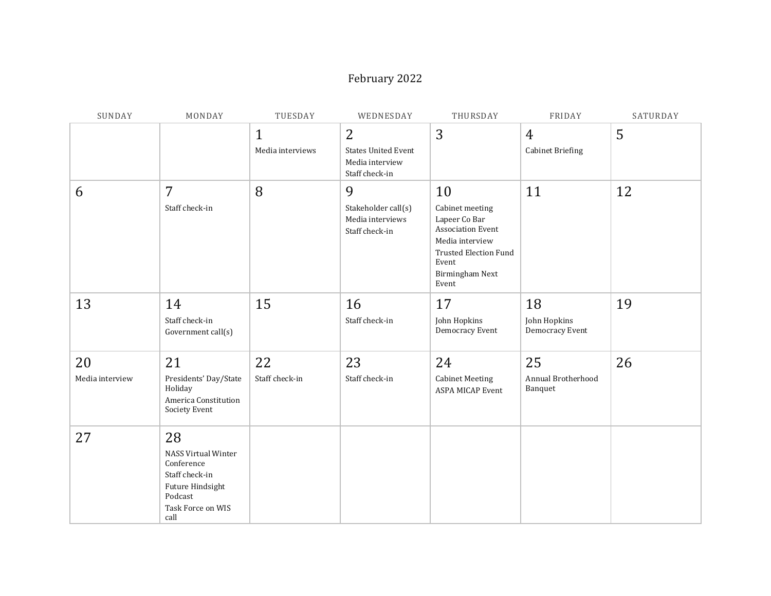## February 2022

| SUNDAY                | MONDAY                                                                                                                       | TUESDAY                          | WEDNESDAY                                                                         | THURSDAY                                                                                                                                                          | FRIDAY                                    | SATURDAY |
|-----------------------|------------------------------------------------------------------------------------------------------------------------------|----------------------------------|-----------------------------------------------------------------------------------|-------------------------------------------------------------------------------------------------------------------------------------------------------------------|-------------------------------------------|----------|
|                       |                                                                                                                              | $\mathbf{1}$<br>Media interviews | $\overline{2}$<br><b>States United Event</b><br>Media interview<br>Staff check-in | 3                                                                                                                                                                 | $\overline{4}$<br><b>Cabinet Briefing</b> | 5        |
| 6                     | $\overline{7}$<br>Staff check-in                                                                                             | 8                                | 9<br>Stakeholder call(s)<br>Media interviews<br>Staff check-in                    | 10<br>Cabinet meeting<br>Lapeer Co Bar<br><b>Association Event</b><br>Media interview<br><b>Trusted Election Fund</b><br>Event<br><b>Birmingham Next</b><br>Event | 11                                        | 12       |
| 13                    | 14<br>Staff check-in<br>Government call(s)                                                                                   | 15                               | 16<br>Staff check-in                                                              | 17<br>John Hopkins<br>Democracy Event                                                                                                                             | 18<br>John Hopkins<br>Democracy Event     | 19       |
| 20<br>Media interview | 21<br>Presidents' Day/State<br>Holiday<br>America Constitution<br>Society Event                                              | 22<br>Staff check-in             | 23<br>Staff check-in                                                              | 24<br><b>Cabinet Meeting</b><br><b>ASPA MICAP Event</b>                                                                                                           | 25<br>Annual Brotherhood<br>Banquet       | 26       |
| 27                    | 28<br><b>NASS Virtual Winter</b><br>Conference<br>Staff check-in<br>Future Hindsight<br>Podcast<br>Task Force on WIS<br>call |                                  |                                                                                   |                                                                                                                                                                   |                                           |          |